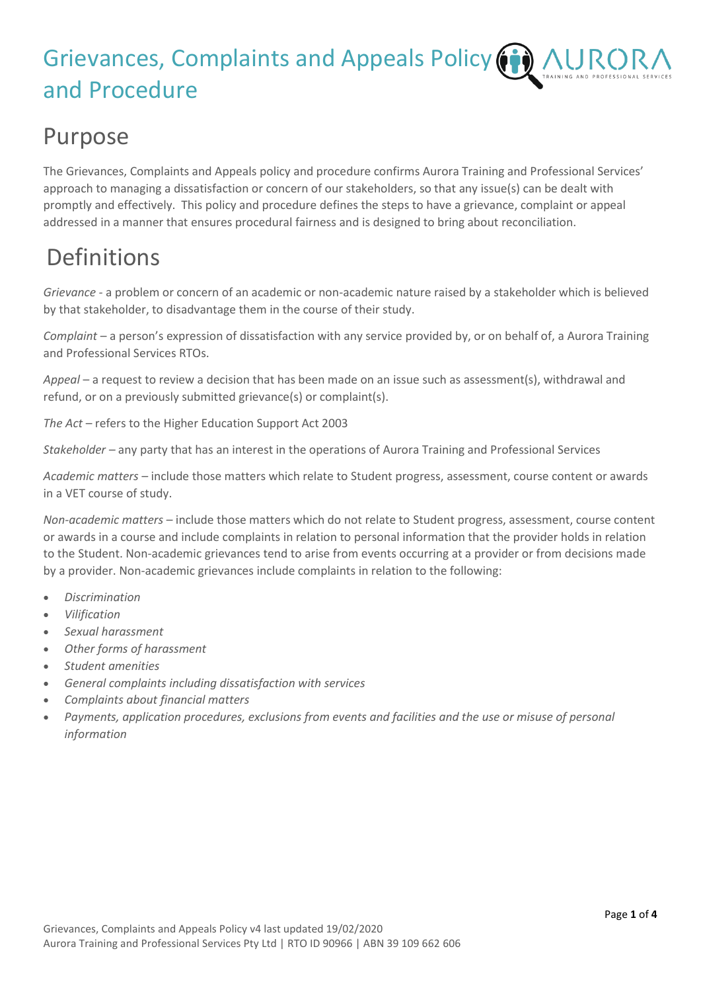# Grievances, Complaints and Appeals Policy ( and Procedure

#### Purpose

The Grievances, Complaints and Appeals policy and procedure confirms Aurora Training and Professional Services' approach to managing a dissatisfaction or concern of our stakeholders, so that any issue(s) can be dealt with promptly and effectively. This policy and procedure defines the steps to have a grievance, complaint or appeal addressed in a manner that ensures procedural fairness and is designed to bring about reconciliation.

## Definitions

*Grievance -* a problem or concern of an academic or non-academic nature raised by a stakeholder which is believed by that stakeholder, to disadvantage them in the course of their study.

*Complaint* – a person's expression of dissatisfaction with any service provided by, or on behalf of, a Aurora Training and Professional Services RTOs.

*Appeal* – a request to review a decision that has been made on an issue such as assessment(s), withdrawal and refund, or on a previously submitted grievance(s) or complaint(s).

*The Act* – refers to the Higher Education Support Act 2003

*Stakeholder –* any party that has an interest in the operations of Aurora Training and Professional Services

*Academic matters –* include those matters which relate to Student progress, assessment, course content or awards in a VET course of study.

*Non-academic matters –* include those matters which do not relate to Student progress, assessment, course content or awards in a course and include complaints in relation to personal information that the provider holds in relation to the Student. Non-academic grievances tend to arise from events occurring at a provider or from decisions made by a provider. Non-academic grievances include complaints in relation to the following:

- *Discrimination*
- *Vilification*
- *Sexual harassment*
- *Other forms of harassment*
- *Student amenities*
- *General complaints including dissatisfaction with services*
- *Complaints about financial matters*
- *Payments, application procedures, exclusions from events and facilities and the use or misuse of personal information*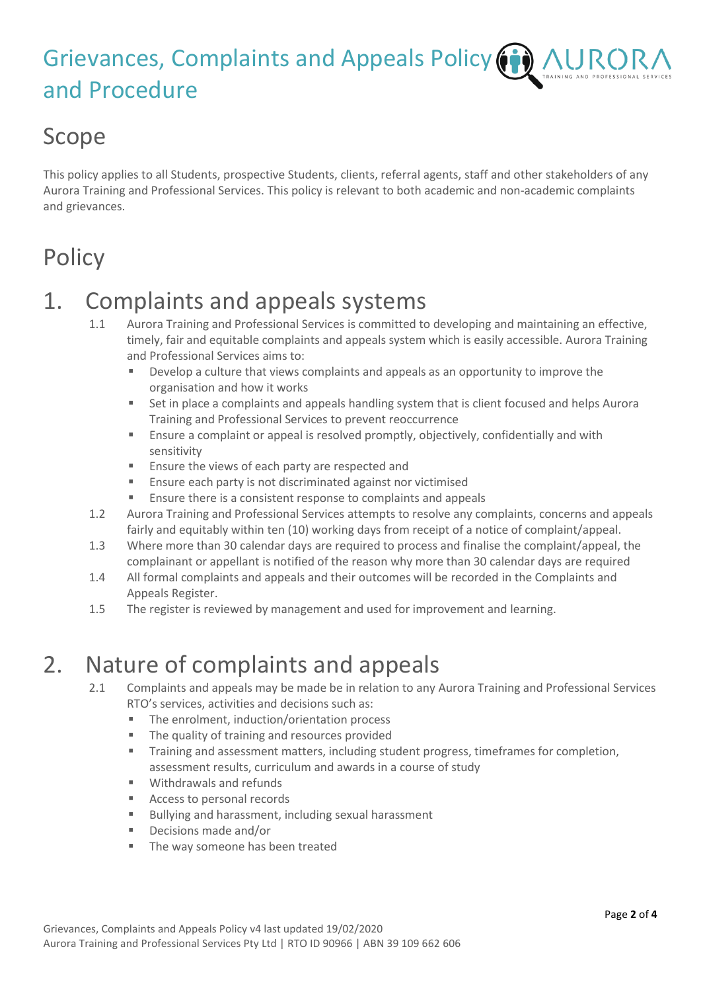#### Grievances, Complaints and Appeals Policy (iii) NING AND PROFESSIONAL SERVI and Procedure

#### Scope

This policy applies to all Students, prospective Students, clients, referral agents, staff and other stakeholders of any Aurora Training and Professional Services. This policy is relevant to both academic and non-academic complaints and grievances.

## **Policy**

#### 1. Complaints and appeals systems

- 1.1 Aurora Training and Professional Services is committed to developing and maintaining an effective, timely, fair and equitable complaints and appeals system which is easily accessible. Aurora Training and Professional Services aims to:
	- **EXECT** Develop a culture that views complaints and appeals as an opportunity to improve the organisation and how it works
	- Set in place a complaints and appeals handling system that is client focused and helps Aurora Training and Professional Services to prevent reoccurrence
	- Ensure a complaint or appeal is resolved promptly, objectively, confidentially and with sensitivity
	- Ensure the views of each party are respected and
	- Ensure each party is not discriminated against nor victimised
	- Ensure there is a consistent response to complaints and appeals
- 1.2 Aurora Training and Professional Services attempts to resolve any complaints, concerns and appeals fairly and equitably within ten (10) working days from receipt of a notice of complaint/appeal.
- 1.3 Where more than 30 calendar days are required to process and finalise the complaint/appeal, the complainant or appellant is notified of the reason why more than 30 calendar days are required
- 1.4 All formal complaints and appeals and their outcomes will be recorded in the Complaints and Appeals Register.
- 1.5 The register is reviewed by management and used for improvement and learning.

#### 2. Nature of complaints and appeals

- 2.1 Complaints and appeals may be made be in relation to any Aurora Training and Professional Services RTO's services, activities and decisions such as:
	- The enrolment, induction/orientation process
	- The quality of training and resources provided
	- **•** Training and assessment matters, including student progress, timeframes for completion, assessment results, curriculum and awards in a course of study
	- Withdrawals and refunds
	- Access to personal records
	- Bullying and harassment, including sexual harassment
	- Decisions made and/or
	- The way someone has been treated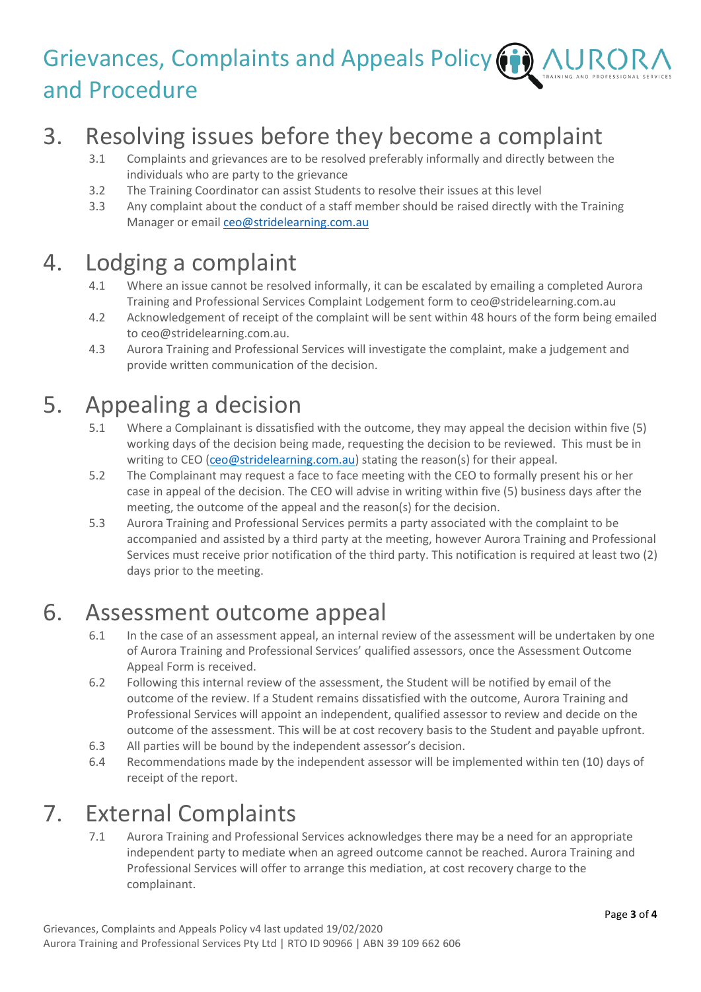## Grievances, Complaints and Appeals Policy  $(i)$ and Procedure

## 3. Resolving issues before they become a complaint

- 3.1 Complaints and grievances are to be resolved preferably informally and directly between the individuals who are party to the grievance
- 3.2 The Training Coordinator can assist Students to resolve their issues at this level
- 3.3 Any complaint about the conduct of a staff member should be raised directly with the Training Manager or emai[l ceo@stridelearning.com.au](mailto:ceo@stridelearning.com.au)

#### 4. Lodging a complaint

- 4.1 Where an issue cannot be resolved informally, it can be escalated by emailing a completed Aurora Training and Professional Services Complaint Lodgement form t[o ceo@stridelearning.com.au](mailto:enquries@stridelearning.com.au)
- 4.2 Acknowledgement of receipt of the complaint will be sent within 48 hours of the form being emailed to ceo@stridelearning.com.au.
- 4.3 Aurora Training and Professional Services will investigate the complaint, make a judgement and provide written communication of the decision.

#### 5. Appealing a decision

- 5.1 Where a Complainant is dissatisfied with the outcome, they may appeal the decision within five (5) working days of the decision being made, requesting the decision to be reviewed. This must be in writing to CEO [\(ceo@stridelearning.com.au\)](mailto:ceo@stridelearning.com.au) stating the reason(s) for their appeal.
- 5.2 The Complainant may request a face to face meeting with the CEO to formally present his or her case in appeal of the decision. The CEO will advise in writing within five (5) business days after the meeting, the outcome of the appeal and the reason(s) for the decision.
- 5.3 Aurora Training and Professional Services permits a party associated with the complaint to be accompanied and assisted by a third party at the meeting, however Aurora Training and Professional Services must receive prior notification of the third party. This notification is required at least two (2) days prior to the meeting.

#### 6. Assessment outcome appeal

- 6.1 In the case of an assessment appeal, an internal review of the assessment will be undertaken by one of Aurora Training and Professional Services' qualified assessors, once the Assessment Outcome Appeal Form is received.
- 6.2 Following this internal review of the assessment, the Student will be notified by email of the outcome of the review. If a Student remains dissatisfied with the outcome, Aurora Training and Professional Services will appoint an independent, qualified assessor to review and decide on the outcome of the assessment. This will be at cost recovery basis to the Student and payable upfront.
- 6.3 All parties will be bound by the independent assessor's decision.
- 6.4 Recommendations made by the independent assessor will be implemented within ten (10) days of receipt of the report.

#### 7. External Complaints

7.1 Aurora Training and Professional Services acknowledges there may be a need for an appropriate independent party to mediate when an agreed outcome cannot be reached. Aurora Training and Professional Services will offer to arrange this mediation, at cost recovery charge to the complainant.